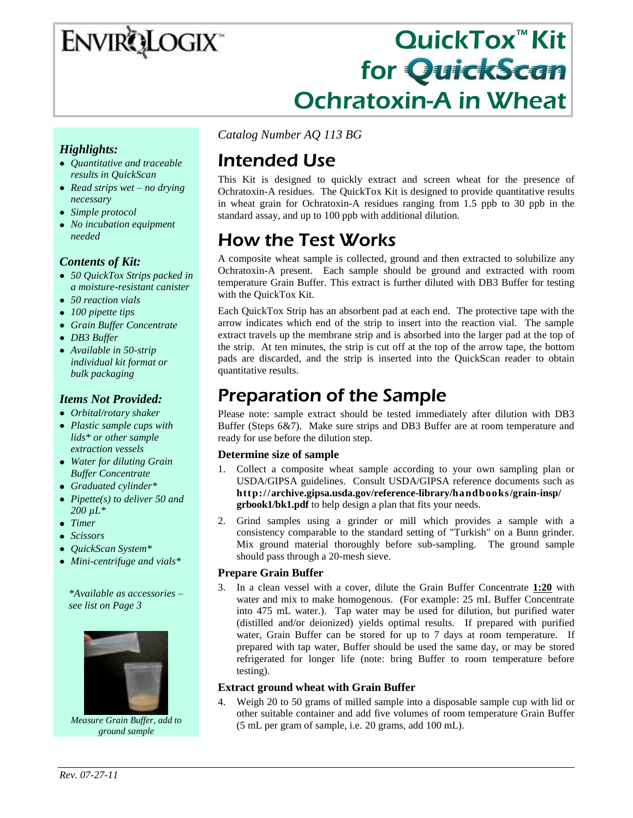# **ENVIRQLOGIX**

# QuickTox™ Kit for QuickScan Ochratoxin-A in Wheat

### *Highlights:*

- *Quantitative and traceable results in QuickScan*
- *Read strips wet – no drying necessary*
- *Simple protocol*
- *No incubation equipment needed*

### *Contents of Kit:*

- *50 QuickTox Strips packed in a moisture-resistant canister*
- *50 reaction vials*
- *100 pipette tips*
- *Grain Buffer Concentrate*
- *DB3 Buffer*
- *Available in 50-strip individual kit format or bulk packaging*

### *Items Not Provided:*

- *Orbital/rotary shaker*
- *Plastic sample cups with lids\* or other sample extraction vessels*
- *Water for diluting Grain Buffer Concentrate*
- *Graduated cylinder\**
- *Pipette(s) to deliver 50 and 200 µL\**
- *Timer*
- *Scissors*
- *QuickScan System\**
- *Mini-centrifuge and vials\**

*\*Available as accessories – see list on Page 3*



*Measure Grain Buffer, add to ground sample*

*Catalog Number AQ 113 BG*

# Intended Use

This Kit is designed to quickly extract and screen wheat for the presence of Ochratoxin-A residues. The QuickTox Kit is designed to provide quantitative results in wheat grain for Ochratoxin-A residues ranging from 1.5 ppb to 30 ppb in the standard assay, and up to 100 ppb with additional dilution.

# How the Test Works

A composite wheat sample is collected, ground and then extracted to solubilize any Ochratoxin-A present. Each sample should be ground and extracted with room temperature Grain Buffer. This extract is further diluted with DB3 Buffer for testing with the QuickTox Kit.

Each QuickTox Strip has an absorbent pad at each end. The protective tape with the arrow indicates which end of the strip to insert into the reaction vial. The sample extract travels up the membrane strip and is absorbed into the larger pad at the top of the strip. At ten minutes, the strip is cut off at the top of the arrow tape, the bottom pads are discarded, and the strip is inserted into the QuickScan reader to obtain quantitative results.

## Preparation of the Sample

Please note: sample extract should be tested immediately after dilution with DB3 Buffer (Steps 6&7). Make sure strips and DB3 Buffer are at room temperature and ready for use before the dilution step.

#### **Determine size of sample**

- 1. Collect a composite wheat sample according to your own sampling plan or USDA/GIPSA guidelines. Consult USDA/GIPSA reference documents such as **http://archive.gipsa.usda.gov/reference-library/handbooks/grain-insp/ grbook1/bk1.pdf** to help design a plan that fits your needs.
- 2. Grind samples using a grinder or mill which provides a sample with a consistency comparable to the standard setting of "Turkish" on a Bunn grinder. Mix ground material thoroughly before sub-sampling. The ground sample should pass through a 20-mesh sieve.

#### **Prepare Grain Buffer**

3. In a clean vessel with a cover, dilute the Grain Buffer Concentrate **1:20** with water and mix to make homogenous. (For example: 25 mL Buffer Concentrate into 475 mL water.). Tap water may be used for dilution, but purified water (distilled and/or deionized) yields optimal results. If prepared with purified water, Grain Buffer can be stored for up to 7 days at room temperature. If prepared with tap water, Buffer should be used the same day, or may be stored refrigerated for longer life (note: bring Buffer to room temperature before testing).

#### **Extract ground wheat with Grain Buffer**

4. Weigh 20 to 50 grams of milled sample into a disposable sample cup with lid or other suitable container and add five volumes of room temperature Grain Buffer (5 mL per gram of sample, i.e. 20 grams, add 100 mL).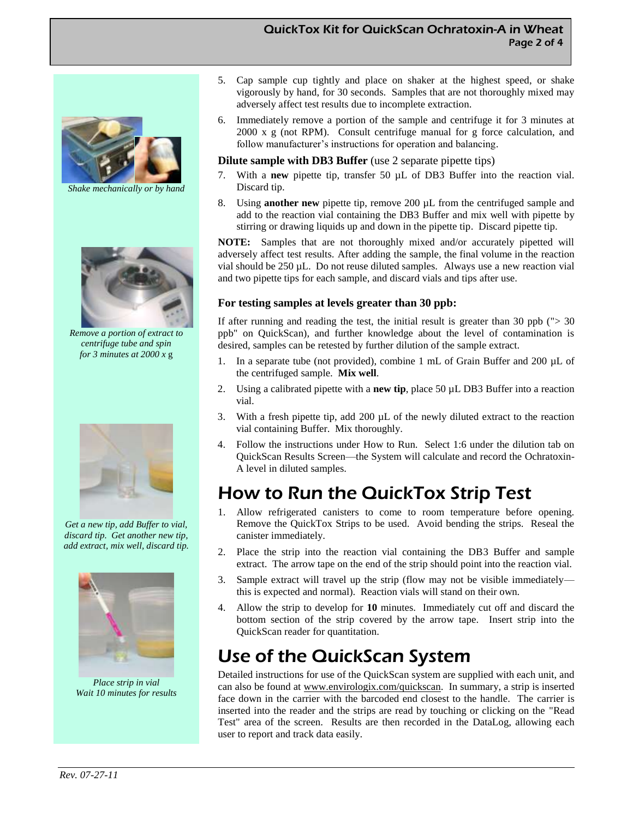#### QuickTox Kit for QuickScan Ochratoxin-A in Wheat Page 2 of 4



*Shake mechanically or by hand*



*Remove a portion of extract to centrifuge tube and spin for 3 minutes at 2000 x* g



*Get a new tip, add Buffer to vial, discard tip. Get another new tip, add extract, mix well, discard tip.*



*Place strip in vial Wait 10 minutes for results*

- 5. Cap sample cup tightly and place on shaker at the highest speed, or shake vigorously by hand, for 30 seconds. Samples that are not thoroughly mixed may adversely affect test results due to incomplete extraction.
- 6. Immediately remove a portion of the sample and centrifuge it for 3 minutes at 2000 x g (not RPM). Consult centrifuge manual for g force calculation, and follow manufacturer's instructions for operation and balancing.

#### **Dilute sample with DB3 Buffer** (use 2 separate pipette tips)

- 7. With a **new** pipette tip, transfer 50 µL of DB3 Buffer into the reaction vial. Discard tip.
- 8. Using **another new** pipette tip, remove 200 µL from the centrifuged sample and add to the reaction vial containing the DB3 Buffer and mix well with pipette by stirring or drawing liquids up and down in the pipette tip. Discard pipette tip.

**NOTE:** Samples that are not thoroughly mixed and/or accurately pipetted will adversely affect test results. After adding the sample, the final volume in the reaction vial should be 250 µL. Do not reuse diluted samples. Always use a new reaction vial and two pipette tips for each sample, and discard vials and tips after use.

#### **For testing samples at levels greater than 30 ppb:**

If after running and reading the test, the initial result is greater than 30 ppb ( $\degree$  > 30 ppb" on QuickScan), and further knowledge about the level of contamination is desired, samples can be retested by further dilution of the sample extract.

- 1. In a separate tube (not provided), combine 1 mL of Grain Buffer and 200 µL of the centrifuged sample. **Mix well**.
- 2. Using a calibrated pipette with a **new tip**, place 50 µL DB3 Buffer into a reaction vial.
- 3. With a fresh pipette tip, add 200 µL of the newly diluted extract to the reaction vial containing Buffer. Mix thoroughly.
- 4. Follow the instructions under How to Run. Select 1:6 under the dilution tab on QuickScan Results Screen—the System will calculate and record the Ochratoxin-A level in diluted samples.

### How to Run the QuickTox Strip Test

- 1. Allow refrigerated canisters to come to room temperature before opening. Remove the QuickTox Strips to be used. Avoid bending the strips. Reseal the canister immediately.
- 2. Place the strip into the reaction vial containing the DB3 Buffer and sample extract. The arrow tape on the end of the strip should point into the reaction vial.
- 3. Sample extract will travel up the strip (flow may not be visible immediately this is expected and normal). Reaction vials will stand on their own.
- 4. Allow the strip to develop for **10** minutes. Immediately cut off and discard the bottom section of the strip covered by the arrow tape. Insert strip into the QuickScan reader for quantitation.

### Use of the QuickScan System

Detailed instructions for use of the QuickScan system are supplied with each unit, and can also be found at www.envirologix.com/quickscan. In summary, a strip is inserted face down in the carrier with the barcoded end closest to the handle. The carrier is inserted into the reader and the strips are read by touching or clicking on the "Read Test" area of the screen. Results are then recorded in the DataLog, allowing each user to report and track data easily.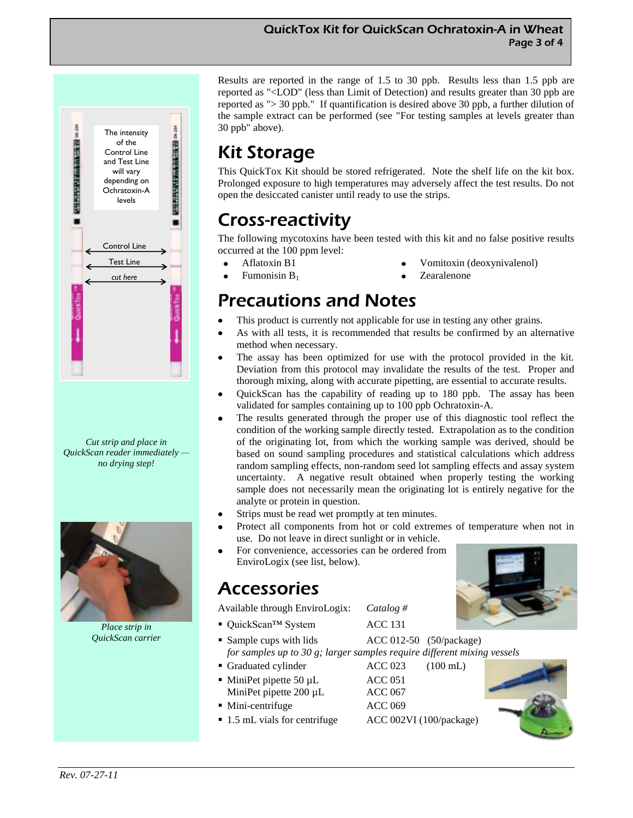#### QuickTox Kit for QuickScan Ochratoxin-A in Wheat Page 3 of 4



*Cut strip and place in QuickScan reader immediately no drying step!*



*Place strip in QuickScan carrier*

Results are reported in the range of 1.5 to 30 ppb. Results less than 1.5 ppb are reported as "<LOD" (less than Limit of Detection) and results greater than 30 ppb are reported as "> 30 ppb." If quantification is desired above 30 ppb, a further dilution of the sample extract can be performed (see "For testing samples at levels greater than 30 ppb" above).

# Kit Storage

This QuickTox Kit should be stored refrigerated. Note the shelf life on the kit box. Prolonged exposure to high temperatures may adversely affect the test results. Do not open the desiccated canister until ready to use the strips.

# Cross-reactivity

The following mycotoxins have been tested with this kit and no false positive results occurred at the 100 ppm level:

- Aflatoxin B1  $\bullet$
- Fumonisin B<sup>1</sup>
- Vomitoxin (deoxynivalenol)
- Zearalenone

### Precautions and Notes

- This product is currently not applicable for use in testing any other grains.
- As with all tests, it is recommended that results be confirmed by an alternative method when necessary.
- The assay has been optimized for use with the protocol provided in the kit. Deviation from this protocol may invalidate the results of the test. Proper and thorough mixing, along with accurate pipetting, are essential to accurate results.
- QuickScan has the capability of reading up to 180 ppb. The assay has been validated for samples containing up to 100 ppb Ochratoxin-A.
- The results generated through the proper use of this diagnostic tool reflect the condition of the working sample directly tested. Extrapolation as to the condition of the originating lot, from which the working sample was derived, should be based on sound sampling procedures and statistical calculations which address random sampling effects, non-random seed lot sampling effects and assay system uncertainty. A negative result obtained when properly testing the working sample does not necessarily mean the originating lot is entirely negative for the analyte or protein in question.
- Strips must be read wet promptly at ten minutes.
- Protect all components from hot or cold extremes of temperature when not in use. Do not leave in direct sunlight or in vehicle.
- For convenience, accessories can be ordered from EnviroLogix (see list, below).

### Accessories

Available through EnviroLogix: *Catalog #*

- QuickScan™ System ACC 131
- 
- Sample cups with lids  $\text{ACC } 012-50 \quad (50/\text{package})$ *for samples up to 30 g; larger samples require different mixing vessels*
- Graduated cylinder ACC 023 (100 mL)
- MiniPet pipette 50 µL ACC 051 MiniPet pipette 200 µL ACC 067
- Mini-centrifuge ACC 069
- 1.5 mL vials for centrifuge ACC 002VI (100/package)